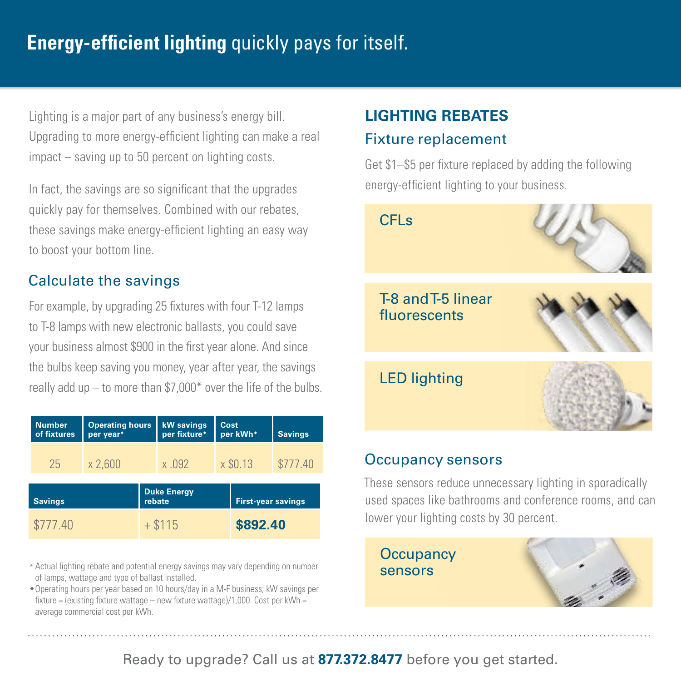## **Energy-efficient lighting** quickly pays for itself.

Lighting is a major part of any business's energy bill. Upgrading to more energy-efficient lighting can make a real impact – saving up to 50 percent on lighting costs.

In fact, the savings are so significant that the upgrades quickly pay for themselves. Combined with our rebates, these savings make energy-efficient lighting an easy way to boost your bottom line.

#### Calculate the savings

For example, by upgrading 25 fixtures with four T-12 lamps to T-8 lamps with new electronic ballasts, you could save your business almost \$900 in the first year alone. And since the bulbs keep saving you money, year after year, the savings really add up – to more than  $$7,000^*$  over the life of the bulbs.

| <b>Number</b><br>of fixtures | Operating hours<br>per year* | kW savings<br>per fixture* | Cost<br>per kWh* | <b>Savings</b> |  |
|------------------------------|------------------------------|----------------------------|------------------|----------------|--|
| 25                           | x 2.600                      | $\times$ 0.92              | x \$0.13         | \$777.40       |  |
| Duke Energy                  |                              |                            |                  |                |  |

| <b>Savings</b> | <b>Duke Energy</b><br>rebate | <b>First-year savings</b> |
|----------------|------------------------------|---------------------------|
| \$777.40       | $+$ \$115                    | \$892.40                  |

\* Actual lighting rebate and potential energy savings may vary depending on number **Sensors** of lamps, wattage and type of ballast installed.

\* Operating hours per year based on 10 hours/day in a M-F business; kW savings per fixture = (existing fixture wattage – new fixture wattage)/1,000. Cost per kWh = average commercial cost per kWh.

#### **LIGHTING REBATES** Fixture replacement

Get \$1–\$5 per fixture replaced by adding the following energy-efficient lighting to your business.

CFLs T-8 and T-5 linear fluorescents LED lighting

#### Occupancy sensors

These sensors reduce unnecessary lighting in sporadically used spaces like bathrooms and conference rooms, and can lower your lighting costs by 30 percent.

**Occupancy** 



Ready to upgrade? Call us at **877.372.8477** before you get started.